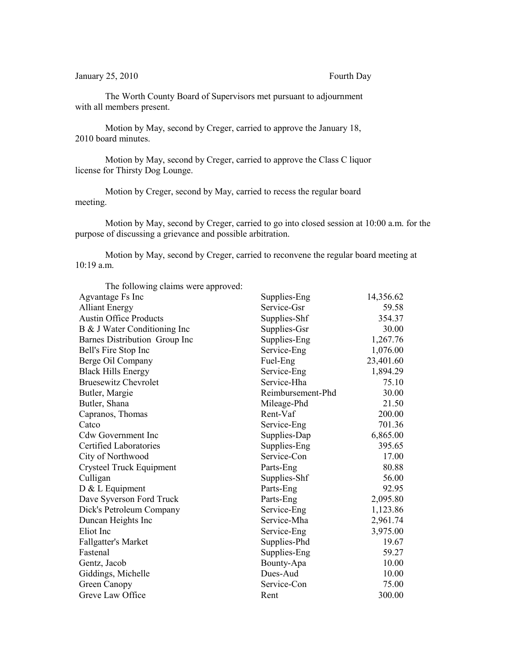## January 25, 2010 Fourth Day

The Worth County Board of Supervisors met pursuant to adjournment with all members present.

Motion by May, second by Creger, carried to approve the January 18, 2010 board minutes.

Motion by May, second by Creger, carried to approve the Class C liquor license for Thirsty Dog Lounge.

Motion by Creger, second by May, carried to recess the regular board meeting.

Motion by May, second by Creger, carried to go into closed session at 10:00 a.m. for the purpose of discussing a grievance and possible arbitration.

Motion by May, second by Creger, carried to reconvene the regular board meeting at 10:19 a.m.

| The following claims were approved: |                   |           |
|-------------------------------------|-------------------|-----------|
| Agvantage Fs Inc                    | Supplies-Eng      | 14,356.62 |
| <b>Alliant Energy</b>               | Service-Gsr       | 59.58     |
| <b>Austin Office Products</b>       | Supplies-Shf      | 354.37    |
| B & J Water Conditioning Inc        | Supplies-Gsr      | 30.00     |
| Barnes Distribution Group Inc       | Supplies-Eng      | 1,267.76  |
| Bell's Fire Stop Inc                | Service-Eng       | 1,076.00  |
| Berge Oil Company                   | Fuel-Eng          | 23,401.60 |
| <b>Black Hills Energy</b>           | Service-Eng       | 1,894.29  |
| <b>Bruesewitz Chevrolet</b>         | Service-Hha       | 75.10     |
| Butler, Margie                      | Reimbursement-Phd | 30.00     |
| Butler, Shana                       | Mileage-Phd       | 21.50     |
| Capranos, Thomas                    | Rent-Vaf          | 200.00    |
| Catco                               | Service-Eng       | 701.36    |
| <b>Cdw Government Inc</b>           | Supplies-Dap      | 6,865.00  |
| Certified Laboratories              | Supplies-Eng      | 395.65    |
| City of Northwood                   | Service-Con       | 17.00     |
| Crysteel Truck Equipment            | Parts-Eng         | 80.88     |
| Culligan                            | Supplies-Shf      | 56.00     |
| $D & L$ Equipment                   | Parts-Eng         | 92.95     |
| Dave Syverson Ford Truck            | Parts-Eng         | 2,095.80  |
| Dick's Petroleum Company            | Service-Eng       | 1,123.86  |
| Duncan Heights Inc                  | Service-Mha       | 2,961.74  |
| Eliot Inc                           | Service-Eng       | 3,975.00  |
| Fallgatter's Market                 | Supplies-Phd      | 19.67     |
| Fastenal                            | Supplies-Eng      | 59.27     |
| Gentz, Jacob                        | Bounty-Apa        | 10.00     |
| Giddings, Michelle                  | Dues-Aud          | 10.00     |
| Green Canopy                        | Service-Con       | 75.00     |
| Greve Law Office                    | Rent              | 300.00    |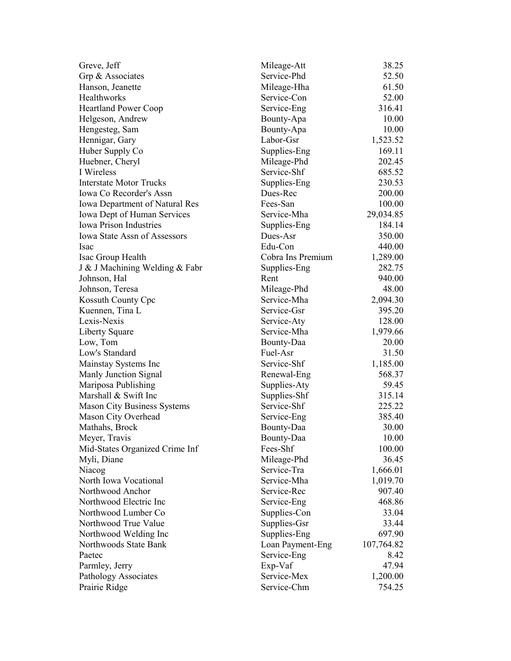| Greve, Jeff                           | Mileage-Att       | 38.25      |
|---------------------------------------|-------------------|------------|
| Grp & Associates                      | Service-Phd       | 52.50      |
| Hanson, Jeanette                      | Mileage-Hha       | 61.50      |
| Healthworks                           | Service-Con       | 52.00      |
| <b>Heartland Power Coop</b>           | Service-Eng       | 316.41     |
| Helgeson, Andrew                      | Bounty-Apa        | 10.00      |
| Hengesteg, Sam                        | Bounty-Apa        | 10.00      |
| Hennigar, Gary                        | Labor-Gsr         | 1,523.52   |
| Huber Supply Co                       | Supplies-Eng      | 169.11     |
| Huebner, Cheryl                       | Mileage-Phd       | 202.45     |
| I Wireless                            | Service-Shf       | 685.52     |
| <b>Interstate Motor Trucks</b>        | Supplies-Eng      | 230.53     |
| Iowa Co Recorder's Assn               | Dues-Rec          | 200.00     |
| <b>Iowa Department of Natural Res</b> | Fees-San          | 100.00     |
| Iowa Dept of Human Services           | Service-Mha       | 29,034.85  |
| <b>Iowa Prison Industries</b>         | Supplies-Eng      | 184.14     |
| <b>Iowa State Assn of Assessors</b>   | Dues-Asr          | 350.00     |
| Isac                                  | Edu-Con           | 440.00     |
| Isac Group Health                     | Cobra Ins Premium | 1,289.00   |
| J & J Machining Welding & Fabr        | Supplies-Eng      | 282.75     |
| Johnson, Hal                          | Rent              | 940.00     |
| Johnson, Teresa                       | Mileage-Phd       | 48.00      |
| Kossuth County Cpc                    | Service-Mha       | 2,094.30   |
| Kuennen, Tina L                       | Service-Gsr       | 395.20     |
| Lexis-Nexis                           | Service-Aty       | 128.00     |
| Liberty Square                        | Service-Mha       | 1,979.66   |
| Low, Tom                              | Bounty-Daa        | 20.00      |
| Low's Standard                        | Fuel-Asr          | 31.50      |
| Mainstay Systems Inc                  | Service-Shf       | 1,185.00   |
| Manly Junction Signal                 | Renewal-Eng       | 568.37     |
| Mariposa Publishing                   | Supplies-Aty      | 59.45      |
| Marshall & Swift Inc                  | Supplies-Shf      | 315.14     |
| <b>Mason City Business Systems</b>    | Service-Shf       | 225.22     |
| Mason City Overhead                   | Service-Eng       | 385.40     |
| Mathahs, Brock                        | Bounty-Daa        | 30.00      |
| Meyer, Travis                         | Bounty-Daa        | 10.00      |
| Mid-States Organized Crime Inf        | Fees-Shf          | 100.00     |
| Myli, Diane                           | Mileage-Phd       | 36.45      |
| Niacog                                | Service-Tra       | 1,666.01   |
| North Iowa Vocational                 | Service-Mha       | 1,019.70   |
| Northwood Anchor                      | Service-Rec       | 907.40     |
| Northwood Electric Inc                | Service-Eng       | 468.86     |
| Northwood Lumber Co                   | Supplies-Con      | 33.04      |
| Northwood True Value                  | Supplies-Gsr      | 33.44      |
| Northwood Welding Inc                 | Supplies-Eng      | 697.90     |
| Northwoods State Bank                 | Loan Payment-Eng  | 107,764.82 |
| Paetec                                | Service-Eng       | 8.42       |
| Parmley, Jerry                        | Exp-Vaf           | 47.94      |
| Pathology Associates                  | Service-Mex       | 1,200.00   |
| Prairie Ridge                         | Service-Chm       | 754.25     |